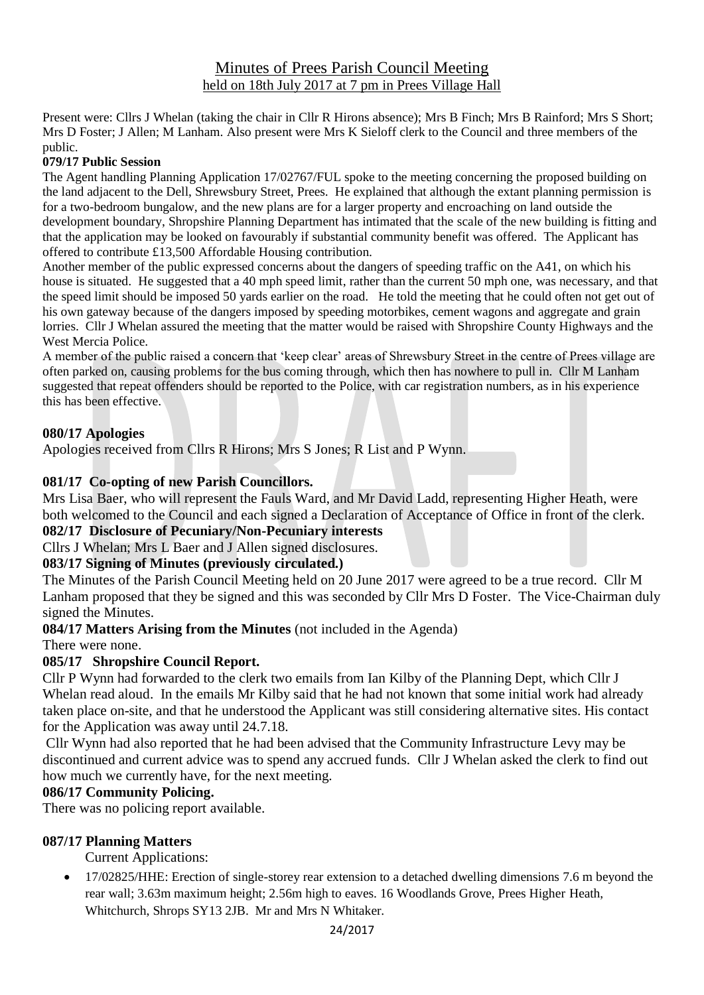# Minutes of Prees Parish Council Meeting held on 18th July 2017 at 7 pm in Prees Village Hall

Present were: Cllrs J Whelan (taking the chair in Cllr R Hirons absence); Mrs B Finch; Mrs B Rainford; Mrs S Short; Mrs D Foster; J Allen; M Lanham. Also present were Mrs K Sieloff clerk to the Council and three members of the public.

#### **079/17 Public Session**

The Agent handling Planning Application 17/02767/FUL spoke to the meeting concerning the proposed building on the land adjacent to the Dell, Shrewsbury Street, Prees. He explained that although the extant planning permission is for a two-bedroom bungalow, and the new plans are for a larger property and encroaching on land outside the development boundary, Shropshire Planning Department has intimated that the scale of the new building is fitting and that the application may be looked on favourably if substantial community benefit was offered. The Applicant has offered to contribute £13,500 Affordable Housing contribution.

Another member of the public expressed concerns about the dangers of speeding traffic on the A41, on which his house is situated. He suggested that a 40 mph speed limit, rather than the current 50 mph one, was necessary, and that the speed limit should be imposed 50 yards earlier on the road. He told the meeting that he could often not get out of his own gateway because of the dangers imposed by speeding motorbikes, cement wagons and aggregate and grain lorries. Cllr J Whelan assured the meeting that the matter would be raised with Shropshire County Highways and the West Mercia Police.

A member of the public raised a concern that 'keep clear' areas of Shrewsbury Street in the centre of Prees village are often parked on, causing problems for the bus coming through, which then has nowhere to pull in. Cllr M Lanham suggested that repeat offenders should be reported to the Police, with car registration numbers, as in his experience this has been effective.

### **080/17 Apologies**

Apologies received from Cllrs R Hirons; Mrs S Jones; R List and P Wynn.

### **081/17 Co-opting of new Parish Councillors.**

Mrs Lisa Baer, who will represent the Fauls Ward, and Mr David Ladd, representing Higher Heath, were both welcomed to the Council and each signed a Declaration of Acceptance of Office in front of the clerk.

### **082/17 Disclosure of Pecuniary/Non-Pecuniary interests**

Cllrs J Whelan; Mrs L Baer and J Allen signed disclosures.

## **083/17 Signing of Minutes (previously circulated.)**

The Minutes of the Parish Council Meeting held on 20 June 2017 were agreed to be a true record. Cllr M Lanham proposed that they be signed and this was seconded by Cllr Mrs D Foster. The Vice-Chairman duly signed the Minutes.

**084/17 Matters Arising from the Minutes** (not included in the Agenda)

There were none.

## **085/17 Shropshire Council Report.**

Cllr P Wynn had forwarded to the clerk two emails from Ian Kilby of the Planning Dept, which Cllr J Whelan read aloud. In the emails Mr Kilby said that he had not known that some initial work had already taken place on-site, and that he understood the Applicant was still considering alternative sites. His contact for the Application was away until 24.7.18.

Cllr Wynn had also reported that he had been advised that the Community Infrastructure Levy may be discontinued and current advice was to spend any accrued funds. Cllr J Whelan asked the clerk to find out how much we currently have, for the next meeting.

### **086/17 Community Policing.**

There was no policing report available.

### **087/17 Planning Matters**

Current Applications:

• 17/02825/HHE: Erection of single-storey rear extension to a detached dwelling dimensions 7.6 m beyond the rear wall; 3.63m maximum height; 2.56m high to eaves. 16 Woodlands Grove, Prees Higher Heath, Whitchurch, Shrops SY13 2JB. Mr and Mrs N Whitaker.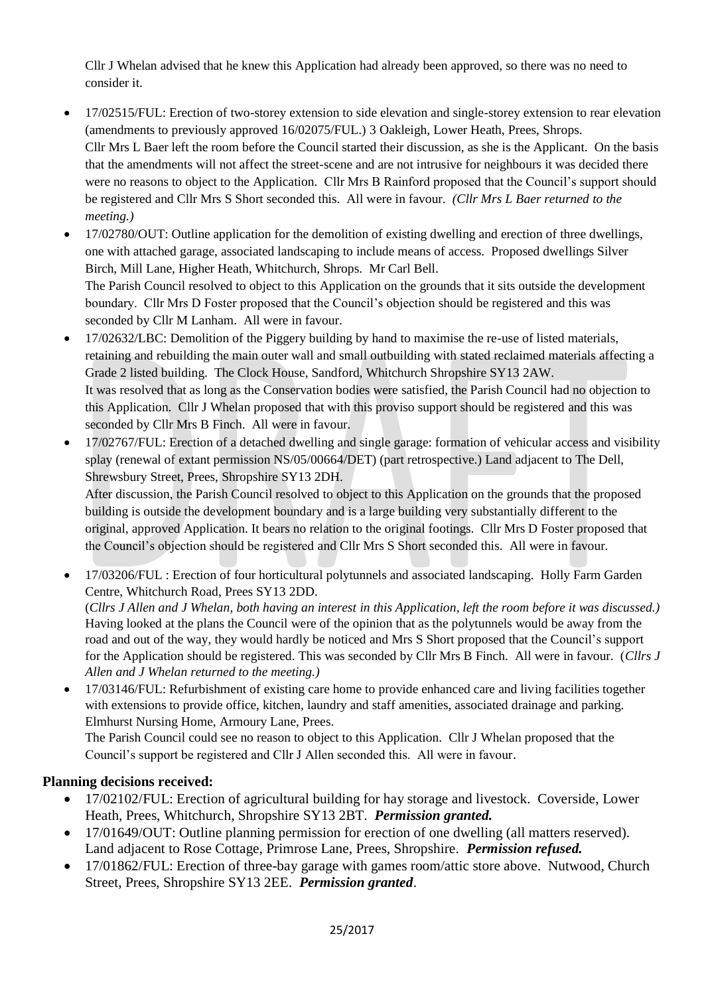Cllr J Whelan advised that he knew this Application had already been approved, so there was no need to consider it.

- 17/02515/FUL: Erection of two-storey extension to side elevation and single-storey extension to rear elevation (amendments to previously approved 16/02075/FUL.) 3 Oakleigh, Lower Heath, Prees, Shrops. Cllr Mrs L Baer left the room before the Council started their discussion, as she is the Applicant. On the basis that the amendments will not affect the street-scene and are not intrusive for neighbours it was decided there were no reasons to object to the Application. Cllr Mrs B Rainford proposed that the Council's support should be registered and Cllr Mrs S Short seconded this. All were in favour. *(Cllr Mrs L Baer returned to the meeting.)*
- 17/02780/OUT: Outline application for the demolition of existing dwelling and erection of three dwellings, one with attached garage, associated landscaping to include means of access. Proposed dwellings Silver Birch, Mill Lane, Higher Heath, Whitchurch, Shrops. Mr Carl Bell. The Parish Council resolved to object to this Application on the grounds that it sits outside the development boundary. Cllr Mrs D Foster proposed that the Council's objection should be registered and this was seconded by Cllr M Lanham. All were in favour.
- 17/02632/LBC: Demolition of the Piggery building by hand to maximise the re-use of listed materials, retaining and rebuilding the main outer wall and small outbuilding with stated reclaimed materials affecting a Grade 2 listed building. The Clock House, Sandford, Whitchurch Shropshire SY13 2AW. It was resolved that as long as the Conservation bodies were satisfied, the Parish Council had no objection to this Application. Cllr J Whelan proposed that with this proviso support should be registered and this was seconded by Cllr Mrs B Finch. All were in favour.
- 17/02767/FUL: Erection of a detached dwelling and single garage: formation of vehicular access and visibility splay (renewal of extant permission NS/05/00664/DET) (part retrospective.) Land adjacent to The Dell, Shrewsbury Street, Prees, Shropshire SY13 2DH.

After discussion, the Parish Council resolved to object to this Application on the grounds that the proposed building is outside the development boundary and is a large building very substantially different to the original, approved Application. It bears no relation to the original footings. Cllr Mrs D Foster proposed that the Council's objection should be registered and Cllr Mrs S Short seconded this. All were in favour.

• 17/03206/FUL : Erection of four horticultural polytunnels and associated landscaping. Holly Farm Garden Centre, Whitchurch Road, Prees SY13 2DD.

(*Cllrs J Allen and J Whelan, both having an interest in this Application, left the room before it was discussed.)* Having looked at the plans the Council were of the opinion that as the polytunnels would be away from the road and out of the way, they would hardly be noticed and Mrs S Short proposed that the Council's support for the Application should be registered. This was seconded by Cllr Mrs B Finch. All were in favour. (*Cllrs J Allen and J Whelan returned to the meeting.)*

• 17/03146/FUL: Refurbishment of existing care home to provide enhanced care and living facilities together with extensions to provide office, kitchen, laundry and staff amenities, associated drainage and parking. Elmhurst Nursing Home, Armoury Lane, Prees.

The Parish Council could see no reason to object to this Application. Cllr J Whelan proposed that the Council's support be registered and Cllr J Allen seconded this. All were in favour.

### **Planning decisions received:**

- 17/02102/FUL: Erection of agricultural building for hay storage and livestock. Coverside, Lower Heath, Prees, Whitchurch, Shropshire SY13 2BT. *Permission granted.*
- 17/01649/OUT: Outline planning permission for erection of one dwelling (all matters reserved). Land adjacent to Rose Cottage, Primrose Lane, Prees, Shropshire. *Permission refused.*
- 17/01862/FUL: Erection of three-bay garage with games room/attic store above. Nutwood, Church Street, Prees, Shropshire SY13 2EE. *Permission granted*.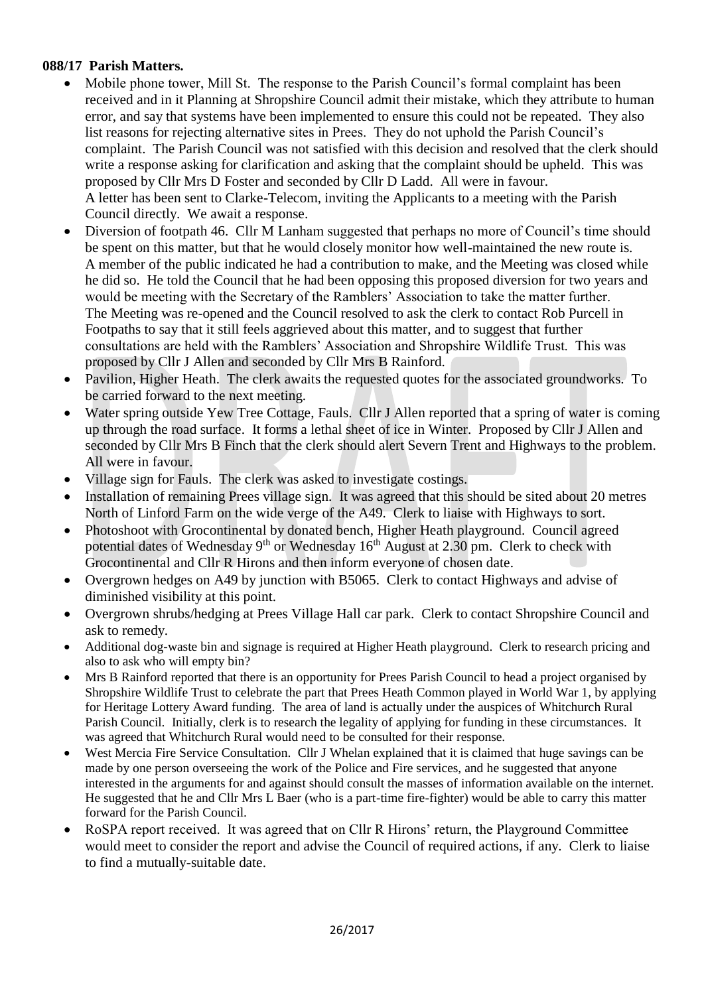# **088/17 Parish Matters.**

- Mobile phone tower, Mill St. The response to the Parish Council's formal complaint has been received and in it Planning at Shropshire Council admit their mistake, which they attribute to human error, and say that systems have been implemented to ensure this could not be repeated. They also list reasons for rejecting alternative sites in Prees. They do not uphold the Parish Council's complaint. The Parish Council was not satisfied with this decision and resolved that the clerk should write a response asking for clarification and asking that the complaint should be upheld. This was proposed by Cllr Mrs D Foster and seconded by Cllr D Ladd. All were in favour. A letter has been sent to Clarke-Telecom, inviting the Applicants to a meeting with the Parish Council directly. We await a response.
- Diversion of footpath 46. Cllr M Lanham suggested that perhaps no more of Council's time should be spent on this matter, but that he would closely monitor how well-maintained the new route is. A member of the public indicated he had a contribution to make, and the Meeting was closed while he did so. He told the Council that he had been opposing this proposed diversion for two years and would be meeting with the Secretary of the Ramblers' Association to take the matter further. The Meeting was re-opened and the Council resolved to ask the clerk to contact Rob Purcell in Footpaths to say that it still feels aggrieved about this matter, and to suggest that further consultations are held with the Ramblers' Association and Shropshire Wildlife Trust. This was proposed by Cllr J Allen and seconded by Cllr Mrs B Rainford.
- Pavilion, Higher Heath. The clerk awaits the requested quotes for the associated groundworks. To be carried forward to the next meeting.
- Water spring outside Yew Tree Cottage, Fauls. Cllr J Allen reported that a spring of water is coming up through the road surface. It forms a lethal sheet of ice in Winter. Proposed by Cllr J Allen and seconded by Cllr Mrs B Finch that the clerk should alert Severn Trent and Highways to the problem. All were in favour.
- Village sign for Fauls. The clerk was asked to investigate costings.
- Installation of remaining Prees village sign. It was agreed that this should be sited about 20 metres North of Linford Farm on the wide verge of the A49. Clerk to liaise with Highways to sort.
- Photoshoot with Grocontinental by donated bench, Higher Heath playground. Council agreed potential dates of Wednesday 9<sup>th</sup> or Wednesday  $16<sup>th</sup>$  August at 2.30 pm. Clerk to check with Grocontinental and Cllr R Hirons and then inform everyone of chosen date.
- Overgrown hedges on A49 by junction with B5065. Clerk to contact Highways and advise of diminished visibility at this point.
- Overgrown shrubs/hedging at Prees Village Hall car park. Clerk to contact Shropshire Council and ask to remedy.
- Additional dog-waste bin and signage is required at Higher Heath playground. Clerk to research pricing and also to ask who will empty bin?
- Mrs B Rainford reported that there is an opportunity for Prees Parish Council to head a project organised by Shropshire Wildlife Trust to celebrate the part that Prees Heath Common played in World War 1, by applying for Heritage Lottery Award funding. The area of land is actually under the auspices of Whitchurch Rural Parish Council. Initially, clerk is to research the legality of applying for funding in these circumstances. It was agreed that Whitchurch Rural would need to be consulted for their response.
- West Mercia Fire Service Consultation. Cllr J Whelan explained that it is claimed that huge savings can be made by one person overseeing the work of the Police and Fire services, and he suggested that anyone interested in the arguments for and against should consult the masses of information available on the internet. He suggested that he and Cllr Mrs L Baer (who is a part-time fire-fighter) would be able to carry this matter forward for the Parish Council.
- RoSPA report received. It was agreed that on Cllr R Hirons' return, the Playground Committee would meet to consider the report and advise the Council of required actions, if any. Clerk to liaise to find a mutually-suitable date.